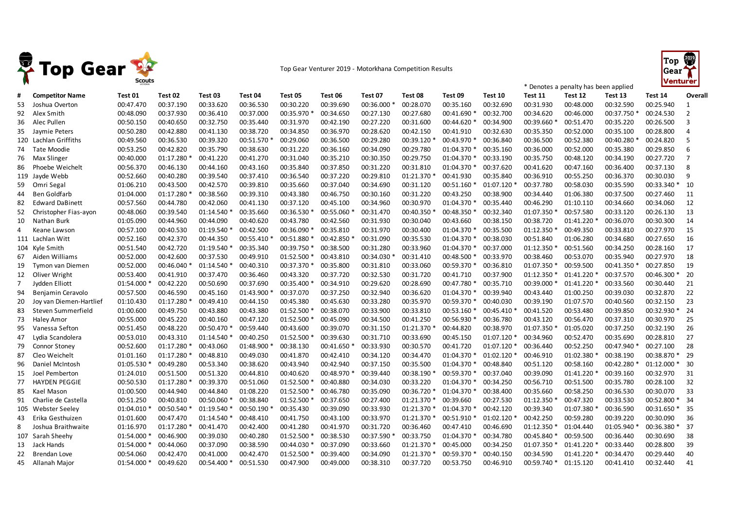

## Top Gear Venturer 2019 - Motorkhana Competition Results



\* Denotes a penalty has been applied

| #   | <b>Competitor Name</b>  | Test 01     | Test 02   | Test 03   | Test 04     | Test 05     | Test 06     | Test 07   | Test 08     | Test 09     | Test 10     | Test 11     | Test 12     | Test 13   | Test 14     | Overall        |
|-----|-------------------------|-------------|-----------|-----------|-------------|-------------|-------------|-----------|-------------|-------------|-------------|-------------|-------------|-----------|-------------|----------------|
| 53  | Joshua Overton          | 00:47.470   | 00:37.190 | 00:33.620 | 00:36.530   | 00:30.220   | 00:39.690   | 00:36.000 | 00:28.070   | 00:35.160   | 00:32.690   | 00:31.930   | 00:48.000   | 00:32.590 | 00:25.940   | 1              |
| 92  | Alex Smith              | 00:48.090   | 00:37.930 | 00:36.410 | 00:37.000   | 00:35.970   | 00:34.650   | 00:27.130 | 00:27.680   | 00:41.690 * | 00:32.700   | 00:34.620   | 00:46.000   | 00:37.750 | 00:24.530   | $\overline{2}$ |
| 36  | Alec Pullen             | 00:50.150   | 00:40.650 | 00:32.750 | 00:35.440   | 00:31.970   | 00:42.190   | 00:27.220 | 00:31.600   | 00:44.620 * | 00:34.900   | 00:39.660   | 00:51.470   | 00:35.220 | 00:26.500   | 3              |
| 35  | Jaymie Peters           | 00:50.280   | 00:42.880 | 00:41.130 | 00:38.720   | 00:34.850   | 00:36.970   | 00:28.620 | 00:42.150   | 00:41.910   | 00:32.630   | 00:35.350   | 00:52.000   | 00:35.100 | 00:28.800   | $\Delta$       |
|     | 120 Lachlan Griffiths   | 00:49.560   | 00:36.530 | 00:39.320 | 00:51.570 * | 00:29.060   | 00:36.500   | 00:29.280 | 00:39.120   | 00:43.970 * | 00:36.840   | 00:36.500   | 00:52.380   | 00:40.280 | 00:24.820   | 5              |
| 74  | Tate Moodie             | 00:53.250   | 00:42.820 | 00:35.790 | 00:38.630   | 00:31.220   | 00:36.160   | 00:34.090 | 00:29.780   | 01:04.370 * | 00:35.160   | 00:36.000   | 00:52.000   | 00:35.380 | 00:29.850   | 6              |
| 76  | Max Slinger             | 00:40.000   | 01:17.280 | 00:41.220 | 00:41.270   | 00:31.040   | 00:35.210   | 00:30.350 | 00:29.750   | 01:04.370 * | 00:33.190   | 00:35.750   | 00:48.120   | 00:34.190 | 00:27.720   | 7              |
| 86  | Phoebe Weichelt         | 00:56.370   | 00:46.130 | 00:44.160 | 00:43.160   | 00:35.840   | 00:37.850   | 00:31.220 | 00:31.810   | 01:04.370 * | 00:37.620   | 00:41.620   | 00:47.160   | 00:36.400 | 00:37.130   | 8              |
|     | 119 Jayde Webb          | 00:52.660   | 00:40.280 | 00:39.540 | 00:37.410   | 00:36.540   | 00:37.220   | 00:29.810 | 01:21.370   | 00:41.930   | 00:35.840   | 00:36.910   | 00:55.250   | 00:36.370 | 00:30.030   | 9              |
| 59  | Omri Segal              | 01:06.210   | 00:43.500 | 00:42.570 | 00:39.810   | 00:35.660   | 00:37.040   | 00:34.690 | 00:31.120   | 00:51.160 * | 01:07.120   | 00:37.780   | 00:58.030   | 00:35.590 | 00:33.340 * | 10             |
| 44  | <b>Ben Goldfarb</b>     | 01:04.000   | 01:17.280 | 00:38.560 | 00:39.310   | 00:43.380   | 00:46.750   | 00:30.160 | 00:31.220   | 00:43.250   | 00:38.900   | 00:34.440   | 01:06.380   | 00:37.500 | 00:27.460   | 11             |
| 82  | <b>Edward DaBinett</b>  | 00:57.560   | 00:44.780 | 00:42.060 | 00:41.130   | 00:37.120   | 00:45.100   | 00:34.960 | 00:30.970   | 01:04.370 * | 00:35.440   | 00:46.290   | 01:10.110   | 00:34.660 | 00:34.060   | 12             |
| 52  | Christopher Fias-ayon   | 00:48.060   | 00:39.540 | 01:14.540 | 00:35.660   | 00:36.530   | 00:55.060   | 00:31.470 | 00:40.350   | 00:48.350 * | 00:32.340   | 01:07.350   | 00:57.580   | 00:33.120 | 00:26.130   | 13             |
| 10  | Nathan Burk             | 01:05.090   | 00:44.960 | 00:44.090 | 00:40.620   | 00:43.780   | 00:42.560   | 00:31.930 | 00:30.040   | 00:43.660   | 00:38.150   | 00:38.720   | 01:41.220 * | 00:36.070 | 00:30.300   | 14             |
| 4   | Keane Lawson            | 00:57.100   | 00:40.530 | 01:19.540 | 00:42.500   | 00:36.090   | 00:35.810   | 00:31.970 | 00:30.400   | 01:04.370 * | 00:35.500   | 01:12.350 * | 00:49.350   | 00:33.810 | 00:27.970   | 15             |
|     | 111 Lachlan Witt        | 00:52.160   | 00:42.370 | 00:44.350 | 00:55.410   | 00:51.880   | 00:42.850   | 00:31.090 | 00:35.530   | 01:04.370 * | 00:38.030   | 00:51.840   | 01:06.280   | 00:34.680 | 00:27.650   | 16             |
|     | 104 Kyle Smith          | 00:51.540   | 00:42.720 | 01:19.540 | 00:35.340   | 00:39.750 * | 00:38.500   | 00:31.280 | 00:33.960   | 01:04.370 * | 00:37.000   | 01:12.350 * | 00:51.560   | 00:34.250 | 00:28.160   | 17             |
| 67  | Aiden Williams          | 00:52.000   | 00:42.600 | 00:37.530 | 00:49.910   | 01:52.500 * | 00:43.810   | 00:34.030 | 00:31.410   | 00:48.500 * | 00:33.970   | 00:38.460   | 00:53.070   | 00:35.940 | 00:27.970   | 18             |
| 19  | Tymon van Diemen        | 00:52.000   | 00:46.040 | 01:14.540 | 00:40.310   | 00:37.370 * | 00:35.800   | 00:31.810 | 00:33.060   | 00:59.370 * | 00:36.810   | 01:07.350 * | 00:59.500   | 00:41.350 | 00:27.850   | 19             |
| 12  | Oliver Wright           | 00:53.400   | 00:41.910 | 00:37.470 | 00:36.460   | 00:43.320   | 00:37.720   | 00:32.530 | 00:31.720   | 00:41.710   | 00:37.900   | 01:12.350 * | 01:41.220   | 00:37.570 | 00:46.300 * | 20             |
| 7   | Jydden Elliott          | 01:54.000   | 00:42.220 | 00:50.690 | 00:37.690   | 00:35.400   | 00:34.910   | 00:29.620 | 00:28.690   | 00:47.780 * | 00:35.710   | 00:39.000 * | 01:41.220 * | 00:33.560 | 00:30.440   | 21             |
| 94  | Benjamin Ceravolo       | 00:57.500   | 00:46.590 | 00:45.160 | 01:43.900   | 00:37.070   | 00:37.250   | 00:32.940 | 00:36.620   | 01:04.370 * | 00:39.940   | 00:43.440   | 01:00.250   | 00:39.030 | 00:32.870   | 22             |
| 20  | Joy van Diemen-Hartlief | 01:10.430   | 01:17.280 | 00:49.410 | 00:44.150   | 00:45.380   | 00:45.630   | 00:33.280 | 00:35.970   | 00:59.370 * | 00:40.030   | 00:39.190   | 01:07.570   | 00:40.560 | 00:32.150   | 23             |
| 83  | Steven Summerfield      | 01:00.600   | 00:49.750 | 00:43.880 | 00:43.380   | 01:52.500   | 00:38.070   | 00:33.900 | 00:33.810   | 00:53.160 * | 00:45.410   | 00:41.520   | 00:53.480   | 00:39.850 | 00:32.930 * | 24             |
| 73  | <b>Haley Amor</b>       | 00:55.000   | 00:45.220 | 00:40.160 | 00:47.120   | 01:52.500   | 00:45.090   | 00:34.500 | 00:41.250   | 00:56.930 * | 00:36.780   | 00:43.120   | 00:56.470   | 00:37.310 | 00:30.970   | 25             |
| 95  | Vanessa Sefton          | 00:51.450   | 00:48.220 | 00:50.470 | 00:59.440   | 00:43.600   | 00:39.070   | 00:31.150 | 01:21.370   | 00:44.820   | 00:38.970   | 01:07.350 * | 01:05.020   | 00:37.250 | 00:32.190   | 26             |
| 47  | Lydia Scandolera        | 00:53.010   | 00:43.310 | 01:14.540 | 00:40.250   | 01:52.500   | 00:39.630   | 00:31.710 | 00:33.690   | 00:45.150   | 01:07.120   | 00:34.960   | 00:52.470   | 00:35.690 | 00:28.810   | 27             |
| 79  | <b>Connor Stoney</b>    | 00:52.600   | 01:17.280 | 00:43.060 | 01:48.900 * | 00:38.130   | 00:41.650 * | 00:33.930 | 00:30.570   | 00:41.720   | 01:07.120 * | 00:36.440   | 00:52.250   | 00:47.940 | 00:27.100   | 28             |
| 87  | Cleo Weichelt           | 01:01.160   | 01:17.280 | 00:48.810 | 00:49.030   | 00:41.870   | 00:42.410   | 00:34.120 | 00:34.470   | 01:04.370 * | 01:02.120   | 00:46.910   | 01:02.380   | 00:38.190 | 00:38.870 * | 29             |
| 96  | Daniel McIntosh         | 01:05.530   | 00:49.280 | 00:53.340 | 00:38.620   | 00:43.940   | 00:42.940   | 00:37.150 | 00:35.500   | 01:04.370 * | 00:48.840   | 00:51.120   | 00:58.160   | 00:42.280 | 01:12.000 * | 30             |
| 15  | Joel Pemberton          | 01:24.010   | 00:51.500 | 00:51.320 | 00:44.810   | 00:40.620   | 00:48.970   | 00:39.440 | 00:38.190   | 00:59.370 * | 00:37.040   | 00:39.090   | 01:41.220   | 00:39.160 | 00:32.970   | 31             |
| 77  | <b>HAYDEN PEGGIE</b>    | 00:50.530   | 01:17.280 | 00:39.370 | 00:51.060   | 01:52.500   | 00:40.880   | 00:34.030 | 00:33.220   | 01:04.370 * | 00:34.250   | 00:56.710   | 00:51.500   | 00:35.780 | 00:28.100   | 32             |
| 85  | Kael Mason              | 01:00.500   | 00:44.940 | 00:44.840 | 01:08.220   | 01:52.500   | 00:46.780   | 00:35.090 | 00:36.720   | 01:04.370 * | 00:38.400   | 00:35.660   | 00:58.250   | 00:36.530 | 00:30.070   | 33             |
| 91  | Charlie de Castella     | 00:51.250   | 00:40.810 | 00:50.060 | 00:38.840   | 01:52.500   | 00:37.650   | 00:27.400 | 01:21.370   | 00:39.660   | 00:27.530   | 01:12.350   | 00:47.320   | 00:33.530 | 00:52.800 * | 34             |
|     | 105 Webster Seeley      | 01:04.010 * | 00:50.540 | 01:19.540 | 00:50.190 * | 00:35.430   | 00:39.090   | 00:33.930 | 01:21.370 * | 01:04.370 * | 00:42.120   | 00:39.340   | 01:07.380   | 00:36.590 | 00:31.650 * | - 35           |
| 43  | Erika Gesthuizen        | 01:01.600   | 00:47.470 | 01:14.540 | 00:48.410   | 00:41.750   | 00:43.100   | 00:33.970 | 01:21.370   | 00:51.910 * | 01:02.120   | 00:42.250   | 00:59.280   | 00:39.220 | 00:30.090   | 36             |
| 8   | Joshua Braithwaite      | 01:16.970   | 01:17.280 | 00:41.470 | 00:42.400   | 00:41.280   | 00:41.970   | 00:31.720 | 00:36.460   | 00:47.410   | 00:46.690   | 01:12.350 * | 01:04.440   | 01:05.940 | 00:36.380 * | 37             |
| 107 | Sarah Sheehy            | 01:54.000 * | 00:46.900 | 00:39.030 | 00:40.280   | 01:52.500   | 00:38.530   | 00:37.590 | 00:33.750   | 01:04.370 * | 00:34.780   | 00:45.840 * | 00:59.500   | 00:36.440 | 00:30.690   | 38             |
| 13  | Jack Hands              | 01:54.000   | 00:44.060 | 00:37.090 | 00:38.590   | 00:44.030   | 00:37.090   | 00:33.660 | 01:21.370   | 00:45.000   | 00:34.250   | 01:07.350 * | 01:41.220   | 00:33.440 | 00:28.800   | 39             |
| 22  | <b>Brendan Love</b>     | 00:54.060   | 00:42.470 | 00:41.000 | 00:42.470   | 01:52.500   | 00:39.400   | 00:34.090 | 01:21.370   | 00:59.370 * | 00:40.150   | 00:34.590   | 01:41.220   | 00:34.470 | 00:29.440   | 40             |
|     | 45 Allanah Major        | 01:54.000   | 00:49.620 | 00:54.400 | 00:51.530   | 00:47.900   | 00:49.000   | 00:38.310 | 00:37.720   | 00:53.750   | 00:46.910   | 00:59.740 * | 01:15.120   | 00:41.410 | 00:32.440   | 41             |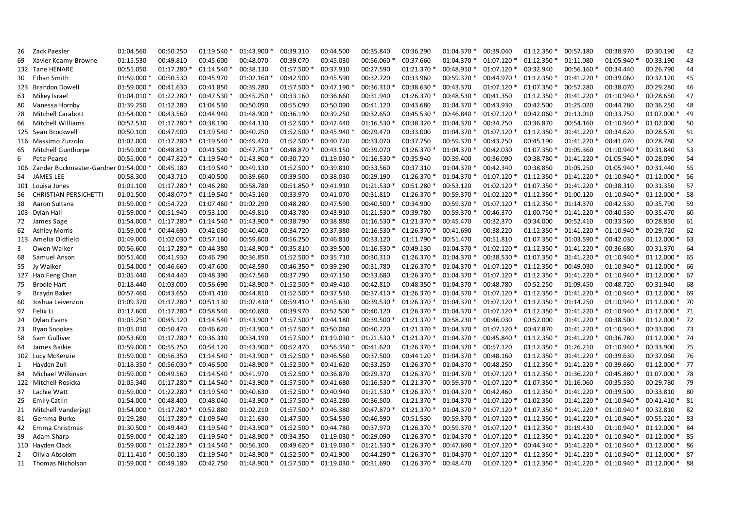| 26  | Zack Paesler                            | 01:04.560    | 00:50.250   | 01:19.540   | 01:43.900   | 00:39.310   | 00:44.500   | 00:35.840   | 00:36.290   | 01:04.370    | 00:39.040     | 01:12.350    | 00:57.180    | 00:38.970    | 00:30.190        | 42 |
|-----|-----------------------------------------|--------------|-------------|-------------|-------------|-------------|-------------|-------------|-------------|--------------|---------------|--------------|--------------|--------------|------------------|----|
| 69  | Xavier Keamy-Browne                     | 01:15.530    | 00:49.810   | 00:45.600   | 00:48.070   | 00:39.070   | 00:45.030   | 00:56.060 * | 00:37.660   | 01:04.370 *  | 01:07.120     | 01:12.350 *  | 01:11.080    | 01:05.940 *  | 00:33.190        | 43 |
|     | 132 Tane HENARE                         | 00:51.050    | 01:17.280 * | 01:14.540 * | 00:38.130   | 01:57.500   | 00:37.910   | 00:27.590   | 01:21.370 * | 00:48.910 *  | 01:07.120 *   | 00:32.940    | 00:56.160 *  | 00:34.440    | 00:26.790        | 44 |
| 30  | Ethan Smith                             | 01:59.000 *  | 00:50.530   | 00:45.970   | 01:02.160   | 00:42.900   | 00:45.590   | 00:32.720   | 00:33.960   | 00:59.370 *  | 00:44.970 *   | 01:12.350 *  | 01:41.220 *  | 00:39.060    | 00:32.120        | 45 |
| 123 | <b>Brandon Dowell</b>                   | 01:59.000 *  | 00:41.630   | 00:41.850   | 00:39.280   | 01:57.500   | 00:47.190   | 00:36.310   | 00:38.630 * | 00:43.370    | 01:07.120     | 01:07.350 *  | 00:57.280    | 00:38.070    | 00:29.280        | 46 |
| 63  | Mikey Israel                            | 01:04.010 *  | 01:22.280 * | 00:47.530   | 00:45.250   | 00:33.160   | 00:36.660   | 00:31.940   | 01:26.370   | 00:48.530 *  | 00:41.350     | 01:12.350 *  | 01:41.220    | 01:10.940 *  | 00:28.650        | 47 |
| 80  | Vanessa Hornby                          | 01:39.250    | 01:12.280   | 01:04.530   | 00:50.090   | 00:55.090   | 00:50.090   | 00:41.120   | 00:43.680   | 01:04.370 *  | 00:43.930     | 00:42.500    | 01:25.020    | 00:44.780    | 00:36.250        | 48 |
| 78  | <b>Mitchell Carabott</b>                | 01:54.000    | 00:43.560   | 00:44.940   | 01:48.900   | 00:36.190   | 00:39.250   | 00:32.650   | 00:45.530 * | 00:46.840 *  | 01:07.120 *   | 00:42.060 *  | 01:13.010    | 00:33.750    | 01:07.000 *      | 49 |
| 66  | Mitchell Williams                       | 00:52.530    | 01:17.280   | 00:38.190   | 00:44.130   | 01:52.500 * | 00:42.440   | 01:16.530 * | 00:38.320   | 01:04.370 *  | 00:34.750     | 00:36.870    | 00:54.160    | 01:10.940 *  | 01:02.000        | 50 |
|     | 125 Sean Brockwell                      | 00:50.100    | 00:47.900   | 01:19.540 * | 00:40.250   | 01:52.500 * | 00:45.940   | 00:29.470   | 00:33.000   | 01:04.370 *  | 01:07.120     | 01:12.350    | 01:41.220    | 00:34.620    | 00:28.570        | 51 |
|     | 116 Massimo Zurzolo                     | 01:02.000    | 01:17.280 * | 01:19.540   | 00:49.470   | 01:52.500 * | 00:40.720   | 00:33.070   | 00:37.750   | 00:59.370 *  | 00:43.250     | 00:45.190    | 01:41.220    | 00:41.070    | 00:28.780        | 52 |
| 65  | Mitchell Gunthorpe                      | 01:59.000    | 00:48.810   | 00:41.500   | 00:47.750   | 00:48.870 * | 00:43.150   | 00:39.070   | 01:26.370   | 01:04.370 *  | 00:42.030     | 01:07.350 *  | 01:05.360    | 01:10.940 *  | 00:31.840        | 53 |
| 6   | Pete Pearse                             | 00:55.000    | 00:47.820 * | 01:19.540 * | 01:43.900   | 00:30.720   | 01:19.030   | 01:16.530 * | 00:35.940   | 00:39.400    | 00:36.090     | 00:38.780 *  | 01:41.220 *  | 01:05.940 *  | 00:28.090        | 54 |
|     | 106 Zander Buckmaster-Gardner 01:54.000 |              | 00:45.180   | 01:19.540 * | 00:49.130   | 01:52.500   | 00:39.810   | 00:33.560   | 00:37.310   | 01:04.370 *  | 00:42.340     | 00:38.850    | 01:05.250    | 01:05.940 *  | 00:31.440        | 55 |
| 54  | <b>JAMES LEE</b>                        | 00:58.300    | 00:43.710   | 00:40.500   | 00:39.660   | 00:39.500   | 00:38.030   | 00:29.190   | 01:26.370 * | 01:04.370 *  | 01:07.120     | 01:12.350 *  | 01:41.220 *  | 01:10.940 *  | $01:12.000*$     | 56 |
|     | 101 Louisa Jones                        | 01:01.100    | 01:17.280 * | 00:46.280   | 00:58.780   | 00:51.850   | 00:41.910   | 01:21.530 * | 00:51.280   | 00:53.120    | 01:02.120     | 01:07.350 *  | 01:41.220    | 00:38.310    | 00:31.350        | 57 |
| 56  | <b>CHRISTIAN PERSICHETTI</b>            | 01:01.500    | 00:48.070 * | 01:19.540 * | 00:45.160   | 00:33.970   | 00:41.070   | 00:31.810   | 01:26.370 * | 00:59.370 *  | 01:02.120     | 01:12.350 *  | 01:00.120    | 01:10.940 *  | 01:12.000 *      | 58 |
| 38  | Aaron Sultana                           | 01:59.000 *  | 00:54.720   | 01:07.460   | 01:02.290   | 00:48.280   | 00:47.590   | 00:40.500 * | 00:34.900   | 00:59.370 *  | 01:07.120 *   | 01:12.350 *  | 01:14.370    | 00:42.530    | 00:35.790        | 59 |
|     | 103 Dylan Hall                          | 01:59.000    | 00:51.940   | 00:53.100   | 00:49.810   | 00:43.780   | 00:43.910   | 01:21.530 * | 00:39.780   | 00:59.370 *  | 00:46.370     | 01:00.750 *  | 01:41.220    | 00:40.530    | 00:35.470        | 60 |
| 72  | James Sage                              | 01:54.000 *  | 01:17.280   | 01:14.540   | 01:43.900   | 00:38.790   | 00:38.880   | 01:16.530 * | 01:21.370 * | 00:45.470    | 00:32.370     | 00:34.000    | 00:52.410    | 00:33.560    | 00:28.850        | 61 |
| 62  | <b>Ashley Morris</b>                    | 01:59.000    | 00:44.690   | 00:42.030   | 00:40.400   | 00:34.720   | 00:37.380   | 01:16.530   | 01:26.370 * | 00:41.690    | 00:38.220     | 01:12.350 *  | 01:41.220 *  | 01:10.940 *  | 00:29.720        | 62 |
|     | 113 Amelia Oldfield                     | 01:49.000    | 01:02.030 * | 00:57.160   | 00:59.600   | 00:56.250   | 00:46.810   | 00:33.120   | 01:11.790 * | 00:51.470    | 00:51.810     | 01:07.350 *  | 01:03.590    | 00:42.030    | $01:12.000*$     | 63 |
| 3   | Owen Walker                             | 00:56.600    | 01:17.280 * | 00:44.380   | 01:48.900   | 00:35.810   | 00:39.500   | 01:16.530 * | 00:49.130   | 01:04.370 *  | 01:02.120 *   | 01:12.350 *  | 01:41.220 *  | 00:36.680    | 00:31.370        | 64 |
| 68  | Samuel Anson                            | 00:51.400    | 00:41.930   | 00:46.790   | 00:36.850   | 01:52.500   | 00:35.710   | 00:30.310   | 01:26.370 * | 01:04.370 *  | 00:38.530     | 01:07.350 *  | 01:41.220 *  | 01:10.940 *  | $01:12.000 * 65$ |    |
| 55  | Jy Walker                               | 01:54.000    | 00:46.660   | 00:47.600   | 00:48.590   | 00:46.350 * | 00:39.290   | 00:31.780   | 01:26.370 * | 01:04.370 *  | 01:07.120     | 01:12.350 *  | 00:49.030    | 01:10.940 *  | 01:12.000 * 66   |    |
|     | 127 Hao Feng Chan                       | 01:05.440    | 00:44.440   | 00:48.390   | 00:47.560   | 00:37.790   | 00:47.150   | 00:33.680   | 01:26.370 * | 01:04.370 *  | 01:07.120     | 01:12.350 *  | 01:41.220 *  | 01:10.940 *  | 01:12.000 * 67   |    |
| 75  | <b>Brodie Hart</b>                      | 01:18.440    | 01:03.000   | 00:56.690   | 01:48.900   | 01:52.500 * | 00:49.410   | 00:42.810   | 00:48.350 * | 01:04.370 *  | 00:48.780     | 00:52.250    | 01:09.450    | 00:48.720    | 00:31.940        | 68 |
| 9   | Braydn Baker                            | 00:57.460    | 00:43.650   | 00:41.410   | 00:44.810   | 01:52.500 * | 00:37.530   | 00:37.410 * | 01:26.370 * | 01:04.370 *  | 01:07.120 *   | 01:12.350 *  | 01:41.220 *  | 01:10.940 *  | 01:12.000 * 69   |    |
| 60  | Joshua Leivenzon                        | 01:09.370    | 01:17.280   | 00:51.130   | 01:07.430   | 00:59.410 * | 00:45.630   | 00:39.530 * | 01:26.370 * | 01:04.370 *  | 01:07.120     | 01:12.350 *  | 01:14.250    | 01:10.940 *  | $01:12.000*$ 70  |    |
| 97  | Felix Li                                | 01:17.600    | 01:17.280   | 00:58.540   | 00:40.690   | 00:39.970   | 00:52.500   | 00:40.120   | 01:26.370 * | 01:04.370 *  | 01:07.120     | 01:12.350 *  | 01:41.220 *  | 01:10.940 *  | 01:12.000 * 71   |    |
| 24  | Dylan Evans                             | 01:05.250    | 00:45.120   | 01:14.540   | 01:43.900   | 01:57.500 * | 00:44.180   | 00:39.500 * | 01:21.370 * | 00:58.230 *  | 00:46.030     | 00:52.000    | 01:41.220 *  | 00:38.500    | 01:12.000 * 72   |    |
| 23  | Ryan Snookes                            | 01:05.030    | 00:50.470   | 00:46.620   | 01:43.900 * | 01:57.500   | 00:50.060   | 00:40.220   | 01:21.370 * | 01:04.370 *  | 01:07.120     | 00:47.870    | 01:41.220 *  | 01:10.940 *  | 00:33.090        | 73 |
| 58  | Sam Gulliver                            | 00:53.600    | 01:17.280 * | 00:36.310   | 00:34.190   | 01:57.500 * | 01:19.030   | 01:21.530 * | 01:21.370 * | 01:04.370 *  | 00:45.840     | 01:12.350 *  | 01:41.220 *  | 00:36.780    | 01:12.000 * 74   |    |
| 64  | James Baikie                            | 01:59.000    | 00:55.250   | 00:54.120   | 01:43.900 * | 00:52.470   | 00:56.350   | 00:41.620   | 01:26.370 * | 01:04.370 *  | 00:57.120     | 01:12.350 *  | 01:26.210    | 01:10.940 *  | 00:33.900        | 75 |
|     | 102 Lucy McKenzie                       | 01:59.000 *  | 00:56.350   | 01:14.540   | 01:43.900   | 01:52.500 * | 00:46.560   | 00:37.500   | 00:44.120 * | 01:04.370 *  | 00:48.160     | 01:12.350 *  | 01:41.220 *  | 00:39.630    | 00:37.060        | 76 |
| 1   | Hayden Zull                             | 01:18.350 *  | 00:56.030 * | 00:46.500   | 01:48.900 * | 01:52.500 * | 00:41.620   | 00:33.250   | 01:26.370 * | $01:04.370*$ | 00:48.250     | $01:12.350*$ | $01:41.220*$ | 00:39.660    | $01:12.000 * 77$ |    |
| 84  | Michael Wilkinson                       | 01:59.000    | 00:49.560   | 01:14.540 * | 00:41.970   | 01:52.500 * | 00:36.870   | 00:29.370   | 01:26.370 * | 01:04.370 *  | 01:07.120     | 01:12.350 *  | 01:36.220 *  | 00:45.880 *  | 01:07.000 * 78   |    |
|     | 122 Mitchell Rosicka                    | 01:05.340    | 01:17.280 * | 01:14.540 * | 01:43.900 * | 01:57.500 * | 00:41.680   | 01:16.530 * | 01:21.370 * | 00:59.370 *  | 01:07.120 *   | 01:07.350 *  | 01:16.060    | 00:35.530    | 00:29.780        | 79 |
| 37  | Lachie Watt                             | 01:59.000    | 01:22.280   | 01:19.540 * | 00:40.630   | 01:52.500 * | 00:40.940   | 01:21.530 * | 01:26.370 * | 01:04.370 *  | 00:42.460     | 01:12.350 *  | 01:41.220 *  | 00:39.500    | 00:33.810        | 80 |
| 25  | <b>Emily Catlin</b>                     | 01:54.000    | 00:48.400   | 00:48.040   | 01:43.900   | 01:57.500 * | 00:43.280   | 00:36.500   | 01:21.370 * | 01:04.370 *  | 01:07.120     | 01:02.350    | 01:41.220 *  | 01:10.940 *  | 00:41.410 * 81   |    |
| 21  | Mitchell Vanderjagt                     | 01:54.000    | 01:17.280 * | 00:52.880   | 01:02.210   | 01:57.500   | 00:46.380   | 00:47.870   | 01:21.370 * | $01:04.370*$ | 01:07.120     | $01:07.350*$ | 01:41.220 *  | $01:10.940*$ | 00:32.810        | 82 |
| 81  | Gemma Burke                             | 01:29.280    | 01:17.280 * | 01:09.540   | 01:21.630   | 01:47.500   | 00:54.530   | 00:46.590   | 00:51.530   | 00:59.370 *  | 01:07.120     | 01:12.350 *  | 01:41.220 *  | $01:10.940*$ | 00:55.220 * 83   |    |
| 42  | Emma Christmas                          | 01:30.500 *  | 00:49.440   | 01:19.540 * | 01:43.900 * | 01:52.500 * | 00:44.780   | 00:37.970   | 01:26.370 * | 00:59.370 *  | 01:07.120 *   | 01:12.350 *  | 01:19.430    | 01:10.940 *  | 01:12.000 * 84   |    |
| 39  | Adam Sharp                              | 01:59.000    | 00:42.180   | 01:19.540 * | 01:48.900   | 00:34.350   | 01:19.030   | 00:29.090   | 01:26.370 * | 01:04.370 *  | $01:07.120*$  | 01:12.350 *  | 01:41.220 *  | 01:10.940 *  | $01:12.000*85$   |    |
|     | 110 Hayden Clack                        | 01:59.000    | 01:22.280   | 01:14.540 * | 00:56.100   | 00:49.620   | 01:19.030   | 01:21.530   | 01:26.370 * | 00:47.690 *  | 01:07.120     | 00:44.340 *  | 01:41.220 *  | 01:10.940 *  | $01:12.000*86$   |    |
| 2   | Olivia Absolom                          | $01:11.410*$ | 00:50.180   | 01:19.540 * | 01:48.900   | 01:52.500   | 00:41.900   | 00:44.290 * | 01:26.370 * | 01:04.370 *  | 01:07.120 *   | 01:12.350 *  | 01:41.220 *  | 01:10.940 *  | $01:12.000*$ 87  |    |
|     | 11 Thomas Nicholson                     | 01:59.000 *  | 00:49.180   | 00:42.750   | 01:48.900 * | 01:57.500 * | 01:19.030 * | 00:31.690   | 01:26.370 * | 00:48.470    | $01:07.120$ * | $01:12.350*$ | 01:41.220 *  | $01:10.940*$ | $01:12.000*$     | 88 |